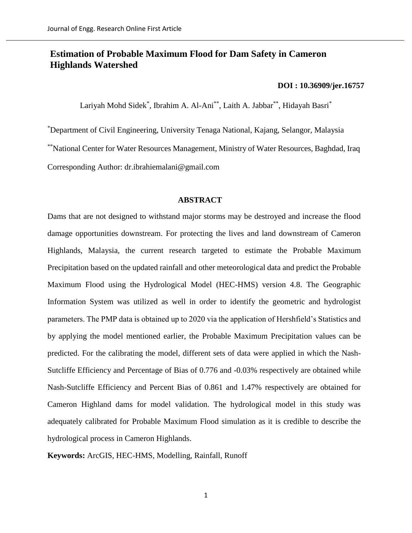# **Estimation of Probable Maximum Flood for Dam Safety in Cameron Highlands Watershed**

## **[DOI : 10.36909/jer.16757](https://doi.org/10.36909/jer.16757)**

Lariyah Mohd Sidek\*, Ibrahim A. Al-Ani\*\*, Laith A. Jabbar\*\*, Hidayah Basri\*

\*Department of Civil Engineering, University Tenaga National, Kajang, Selangor, Malaysia

\*\*National Center for Water Resources Management, Ministry of Water Resources, Baghdad, Iraq

Corresponding Author: dr.ibrahiemalani@gmail.com

## **ABSTRACT**

Dams that are not designed to withstand major storms may be destroyed and increase the flood damage opportunities downstream. For protecting the lives and land downstream of Cameron Highlands, Malaysia, the current research targeted to estimate the Probable Maximum Precipitation based on the updated rainfall and other meteorological data and predict the Probable Maximum Flood using the Hydrological Model (HEC-HMS) version 4.8. The Geographic Information System was utilized as well in order to identify the geometric and hydrologist parameters. The PMP data is obtained up to 2020 via the application of Hershfield's Statistics and by applying the model mentioned earlier, the Probable Maximum Precipitation values can be predicted. For the calibrating the model, different sets of data were applied in which the Nash-Sutcliffe Efficiency and Percentage of Bias of 0.776 and -0.03% respectively are obtained while Nash-Sutcliffe Efficiency and Percent Bias of 0.861 and 1.47% respectively are obtained for Cameron Highland dams for model validation. The hydrological model in this study was adequately calibrated for Probable Maximum Flood simulation as it is credible to describe the hydrological process in Cameron Highlands.

**Keywords:** ArcGIS, HEC-HMS, Modelling, Rainfall, Runoff

1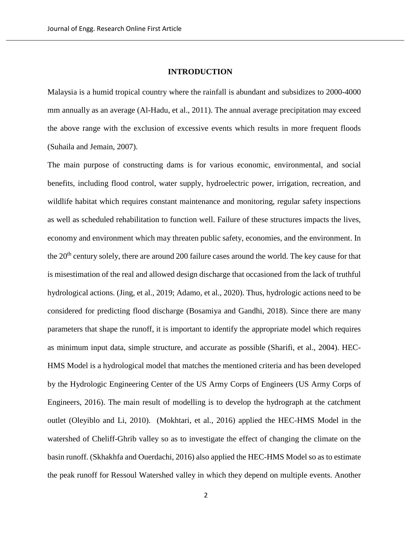## **INTRODUCTION**

Malaysia is a humid tropical country where the rainfall is abundant and subsidizes to 2000-4000 mm annually as an average (Al-Hadu, et al., 2011). The annual average precipitation may exceed the above range with the exclusion of excessive events which results in more frequent floods (Suhaila and Jemain, 2007).

The main purpose of constructing dams is for various economic, environmental, and social benefits, including flood control, water supply, hydroelectric power, irrigation, recreation, and wildlife habitat which requires constant maintenance and monitoring, regular safety inspections as well as scheduled rehabilitation to function well. Failure of these structures impacts the lives, economy and environment which may threaten public safety, economies, and the environment. In the 20<sup>th</sup> century solely, there are around 200 failure cases around the world. The key cause for that is misestimation of the real and allowed design discharge that occasioned from the lack of truthful hydrological actions. (Jing, et al., 2019; Adamo, et al., 2020). Thus, hydrologic actions need to be considered for predicting flood discharge (Bosamiya and Gandhi, 2018). Since there are many parameters that shape the runoff, it is important to identify the appropriate model which requires as minimum input data, simple structure, and accurate as possible (Sharifi, et al., 2004). HEC-HMS Model is a hydrological model that matches the mentioned criteria and has been developed by the Hydrologic Engineering Center of the US Army Corps of Engineers (US Army Corps of Engineers, 2016). The main result of modelling is to develop the hydrograph at the catchment outlet (Oleyiblo and Li, 2010). (Mokhtari, et al., 2016) applied the HEC-HMS Model in the watershed of Cheliff-Ghrib valley so as to investigate the effect of changing the climate on the basin runoff. (Skhakhfa and Ouerdachi, 2016) also applied the HEC-HMS Model so as to estimate the peak runoff for Ressoul Watershed valley in which they depend on multiple events. Another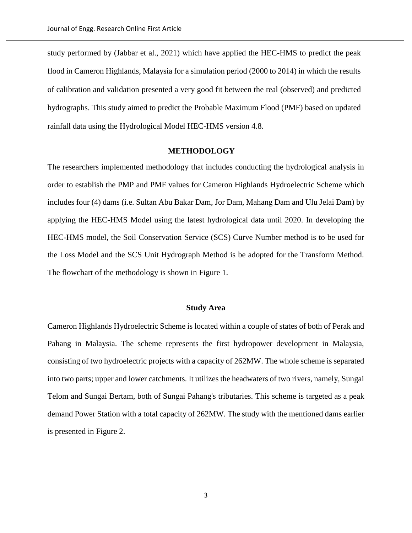study performed by (Jabbar et al., 2021) which have applied the HEC-HMS to predict the peak flood in Cameron Highlands, Malaysia for a simulation period (2000 to 2014) in which the results of calibration and validation presented a very good fit between the real (observed) and predicted hydrographs. This study aimed to predict the Probable Maximum Flood (PMF) based on updated rainfall data using the Hydrological Model HEC-HMS version 4.8.

#### **METHODOLOGY**

The researchers implemented methodology that includes conducting the hydrological analysis in order to establish the PMP and PMF values for Cameron Highlands Hydroelectric Scheme which includes four (4) dams (i.e. Sultan Abu Bakar Dam, Jor Dam, Mahang Dam and Ulu Jelai Dam) by applying the HEC-HMS Model using the latest hydrological data until 2020. In developing the HEC-HMS model, the Soil Conservation Service (SCS) Curve Number method is to be used for the Loss Model and the SCS Unit Hydrograph Method is be adopted for the Transform Method. The flowchart of the methodology is shown in Figure 1.

## **Study Area**

Cameron Highlands Hydroelectric Scheme is located within a couple of states of both of Perak and Pahang in Malaysia. The scheme represents the first hydropower development in Malaysia, consisting of two hydroelectric projects with a capacity of 262MW. The whole scheme is separated into two parts; upper and lower catchments. It utilizes the headwaters of two rivers, namely, Sungai Telom and Sungai Bertam, both of Sungai Pahang's tributaries. This scheme is targeted as a peak demand Power Station with a total capacity of 262MW. The study with the mentioned dams earlier is presented in Figure 2.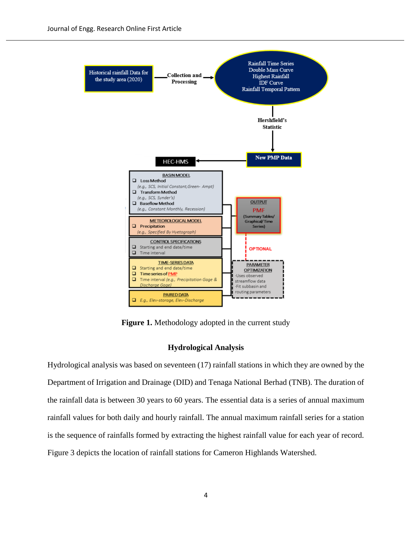

**Figure 1.** Methodology adopted in the current study

## **Hydrological Analysis**

Hydrological analysis was based on seventeen (17) rainfall stations in which they are owned by the Department of Irrigation and Drainage (DID) and Tenaga National Berhad (TNB). The duration of the rainfall data is between 30 years to 60 years. The essential data is a series of annual maximum rainfall values for both daily and hourly rainfall. The annual maximum rainfall series for a station is the sequence of rainfalls formed by extracting the highest rainfall value for each year of record. Figure 3 depicts the location of rainfall stations for Cameron Highlands Watershed.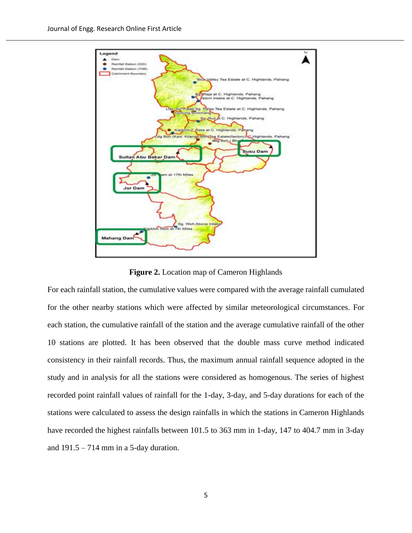

**Figure 2.** Location map of Cameron Highlands

For each rainfall station, the cumulative values were compared with the average rainfall cumulated for the other nearby stations which were affected by similar meteorological circumstances. For each station, the cumulative rainfall of the station and the average cumulative rainfall of the other 10 stations are plotted. It has been observed that the double mass curve method indicated consistency in their rainfall records. Thus, the maximum annual rainfall sequence adopted in the study and in analysis for all the stations were considered as homogenous. The series of highest recorded point rainfall values of rainfall for the 1-day, 3-day, and 5-day durations for each of the stations were calculated to assess the design rainfalls in which the stations in Cameron Highlands have recorded the highest rainfalls between 101.5 to 363 mm in 1-day, 147 to 404.7 mm in 3-day and  $191.5 - 714$  mm in a 5-day duration.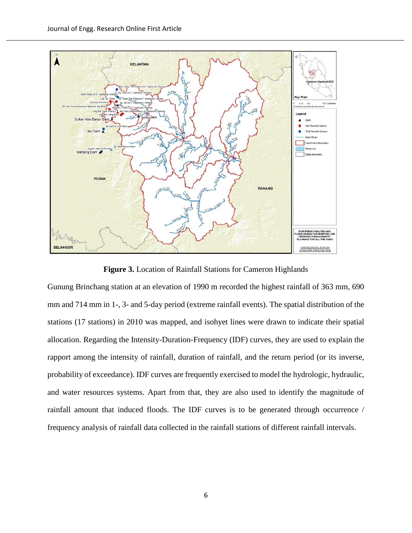

**Figure 3.** Location of Rainfall Stations for Cameron Highlands

Gunung Brinchang station at an elevation of 1990 m recorded the highest rainfall of 363 mm, 690 mm and 714 mm in 1-, 3- and 5-day period (extreme rainfall events). The spatial distribution of the stations (17 stations) in 2010 was mapped, and isohyet lines were drawn to indicate their spatial allocation. Regarding the Intensity-Duration-Frequency (IDF) curves, they are used to explain the rapport among the intensity of rainfall, duration of rainfall, and the return period (or its inverse, probability of exceedance). IDF curves are frequently exercised to model the hydrologic, hydraulic, and water resources systems. Apart from that, they are also used to identify the magnitude of rainfall amount that induced floods. The IDF curves is to be generated through occurrence / frequency analysis of rainfall data collected in the rainfall stations of different rainfall intervals.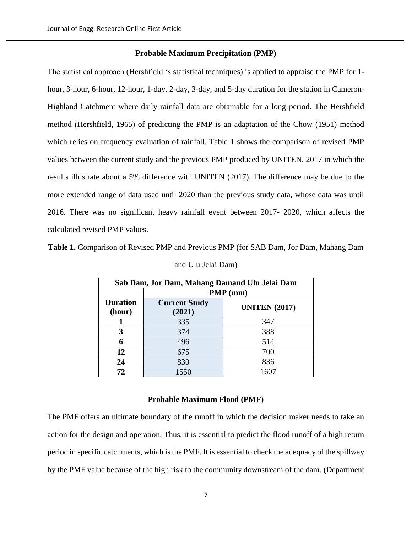## **Probable Maximum Precipitation (PMP)**

The statistical approach (Hershfield 's statistical techniques) is applied to appraise the PMP for 1 hour, 3-hour, 6-hour, 12-hour, 1-day, 2-day, 3-day, and 5-day duration for the station in Cameron-Highland Catchment where daily rainfall data are obtainable for a long period. The Hershfield method (Hershfield, 1965) of predicting the PMP is an adaptation of the Chow (1951) method which relies on frequency evaluation of rainfall. Table 1 shows the comparison of revised PMP values between the current study and the previous PMP produced by UNITEN, 2017 in which the results illustrate about a 5% difference with UNITEN (2017). The difference may be due to the more extended range of data used until 2020 than the previous study data, whose data was until 2016. There was no significant heavy rainfall event between 2017- 2020, which affects the calculated revised PMP values.

**Table 1.** Comparison of Revised PMP and Previous PMP (for SAB Dam, Jor Dam, Mahang Dam

| Sab Dam, Jor Dam, Mahang Damand Ulu Jelai Dam |                                |                      |  |  |  |
|-----------------------------------------------|--------------------------------|----------------------|--|--|--|
|                                               | PMP (mm)                       |                      |  |  |  |
| <b>Duration</b><br>(hour)                     | <b>Current Study</b><br>(2021) | <b>UNITEN (2017)</b> |  |  |  |
|                                               | 335                            | 347                  |  |  |  |
| 3                                             | 374                            | 388                  |  |  |  |
| 6                                             | 496                            | 514                  |  |  |  |
| 12                                            | 675                            | 700                  |  |  |  |
| 24                                            | 830                            | 836                  |  |  |  |
| 72                                            | 1550                           | 1607                 |  |  |  |

|  |  |  | and Ulu Jelai Dam) |
|--|--|--|--------------------|
|--|--|--|--------------------|

## **Probable Maximum Flood (PMF)**

The PMF offers an ultimate boundary of the runoff in which the decision maker needs to take an action for the design and operation. Thus, it is essential to predict the flood runoff of a high return period in specific catchments, which is the PMF. It is essential to check the adequacy of the spillway by the PMF value because of the high risk to the community downstream of the dam. (Department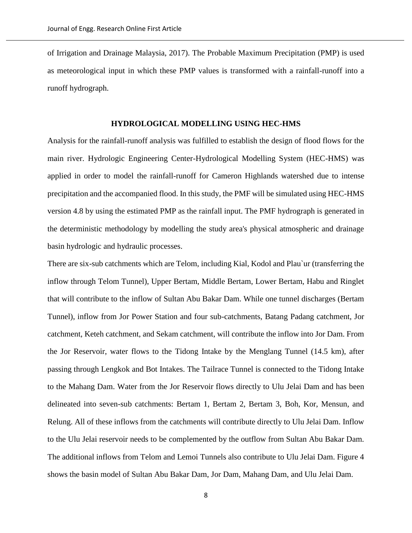of Irrigation and Drainage Malaysia, 2017). The Probable Maximum Precipitation (PMP) is used as meteorological input in which these PMP values is transformed with a rainfall-runoff into a runoff hydrograph.

## **HYDROLOGICAL MODELLING USING HEC-HMS**

Analysis for the rainfall-runoff analysis was fulfilled to establish the design of flood flows for the main river. Hydrologic Engineering Center-Hydrological Modelling System (HEC-HMS) was applied in order to model the rainfall-runoff for Cameron Highlands watershed due to intense precipitation and the accompanied flood. In this study, the PMF will be simulated using HEC-HMS version 4.8 by using the estimated PMP as the rainfall input. The PMF hydrograph is generated in the deterministic methodology by modelling the study area's physical atmospheric and drainage basin hydrologic and hydraulic processes.

There are six-sub catchments which are Telom, including Kial, Kodol and Plau`ur (transferring the inflow through Telom Tunnel), Upper Bertam, Middle Bertam, Lower Bertam, Habu and Ringlet that will contribute to the inflow of Sultan Abu Bakar Dam. While one tunnel discharges (Bertam Tunnel), inflow from Jor Power Station and four sub-catchments, Batang Padang catchment, Jor catchment, Keteh catchment, and Sekam catchment, will contribute the inflow into Jor Dam. From the Jor Reservoir, water flows to the Tidong Intake by the Menglang Tunnel (14.5 km), after passing through Lengkok and Bot Intakes. The Tailrace Tunnel is connected to the Tidong Intake to the Mahang Dam. Water from the Jor Reservoir flows directly to Ulu Jelai Dam and has been delineated into seven-sub catchments: Bertam 1, Bertam 2, Bertam 3, Boh, Kor, Mensun, and Relung. All of these inflows from the catchments will contribute directly to Ulu Jelai Dam. Inflow to the Ulu Jelai reservoir needs to be complemented by the outflow from Sultan Abu Bakar Dam. The additional inflows from Telom and Lemoi Tunnels also contribute to Ulu Jelai Dam. Figure 4 shows the basin model of Sultan Abu Bakar Dam, Jor Dam, Mahang Dam, and Ulu Jelai Dam.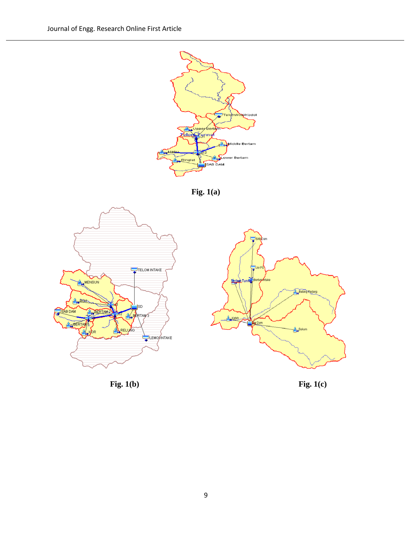

**Fig. 1(a)**





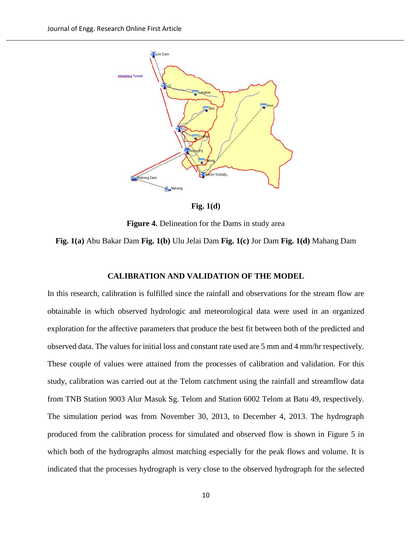

**Fig. 1(d)**

**Figure 4.** Delineation for the Dams in study area

**Fig. 1(a)** Abu Bakar Dam **Fig. 1(b)** Ulu Jelai Dam **Fig. 1(c)** Jor Dam **Fig. 1(d)** Mahang Dam

## **CALIBRATION AND VALIDATION OF THE MODEL**

In this research, calibration is fulfilled since the rainfall and observations for the stream flow are obtainable in which observed hydrologic and meteorological data were used in an organized exploration for the affective parameters that produce the best fit between both of the predicted and observed data. The values for initial loss and constant rate used are 5 mm and 4 mm/hr respectively. These couple of values were attained from the processes of calibration and validation. For this study, calibration was carried out at the Telom catchment using the rainfall and streamflow data from TNB Station 9003 Alur Masuk Sg. Telom and Station 6002 Telom at Batu 49, respectively. The simulation period was from November 30, 2013, to December 4, 2013. The hydrograph produced from the calibration process for simulated and observed flow is shown in Figure 5 in which both of the hydrographs almost matching especially for the peak flows and volume. It is indicated that the processes hydrograph is very close to the observed hydrograph for the selected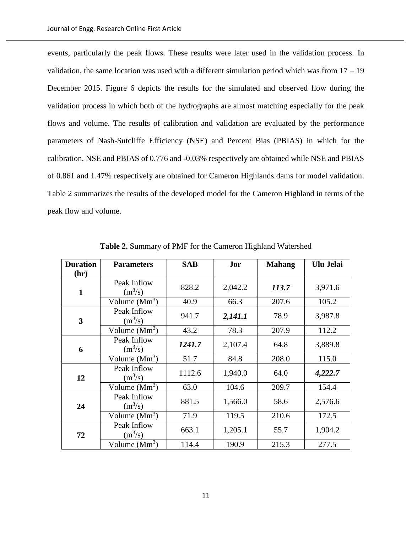events, particularly the peak flows. These results were later used in the validation process. In validation, the same location was used with a different simulation period which was from  $17 - 19$ December 2015. Figure 6 depicts the results for the simulated and observed flow during the validation process in which both of the hydrographs are almost matching especially for the peak flows and volume. The results of calibration and validation are evaluated by the performance parameters of Nash-Sutcliffe Efficiency (NSE) and Percent Bias (PBIAS) in which for the calibration, NSE and PBIAS of 0.776 and -0.03% respectively are obtained while NSE and PBIAS of 0.861 and 1.47% respectively are obtained for Cameron Highlands dams for model validation. Table 2 summarizes the results of the developed model for the Cameron Highland in terms of the peak flow and volume.

| <b>Duration</b> | <b>Parameters</b>        | <b>SAB</b> | Jor     | <b>Mahang</b> | Ulu Jelai |
|-----------------|--------------------------|------------|---------|---------------|-----------|
| (hr)            |                          |            |         |               |           |
| $\mathbf{1}$    | Peak Inflow<br>$(m^3/s)$ | 828.2      | 2,042.2 | 113.7         | 3,971.6   |
|                 | Volume $(Mm3)$           | 40.9       | 66.3    | 207.6         | 105.2     |
| 3               | Peak Inflow<br>$(m^3/s)$ | 941.7      | 2,141.1 | 78.9          | 3,987.8   |
|                 | Volume $(Mm3)$           | 43.2       | 78.3    | 207.9         | 112.2     |
| 6               | Peak Inflow<br>$(m^3/s)$ | 1241.7     | 2,107.4 | 64.8          | 3,889.8   |
|                 | Volume $(Mm3)$           | 51.7       | 84.8    | 208.0         | 115.0     |
| 12              | Peak Inflow<br>$(m^3/s)$ | 1112.6     | 1,940.0 | 64.0          | 4,222.7   |
|                 | Volume $(Mm3)$           | 63.0       | 104.6   | 209.7         | 154.4     |
| 24              | Peak Inflow<br>$(m^3/s)$ | 881.5      | 1,566.0 | 58.6          | 2,576.6   |
|                 | Volume $(Mm3)$           | 71.9       | 119.5   | 210.6         | 172.5     |
| 72              | Peak Inflow<br>$(m^3/s)$ | 663.1      | 1,205.1 | 55.7          | 1,904.2   |
|                 | Volume $(Mm3)$           | 114.4      | 190.9   | 215.3         | 277.5     |

**Table 2.** Summary of PMF for the Cameron Highland Watershed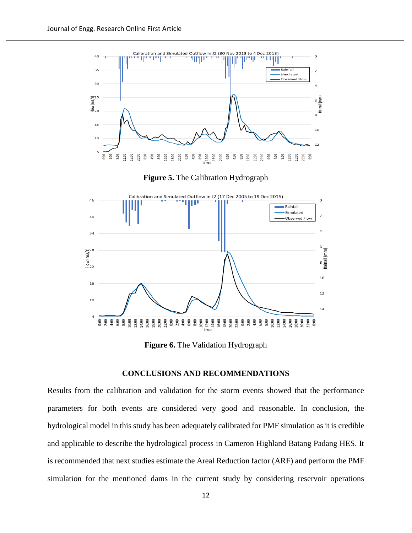

**Figure 6.** The Validation Hydrograph

### **CONCLUSIONS AND RECOMMENDATIONS**

Results from the calibration and validation for the storm events showed that the performance parameters for both events are considered very good and reasonable. In conclusion, the hydrological model in this study has been adequately calibrated for PMF simulation as it is credible and applicable to describe the hydrological process in Cameron Highland Batang Padang HES. It is recommended that next studies estimate the Areal Reduction factor (ARF) and perform the PMF simulation for the mentioned dams in the current study by considering reservoir operations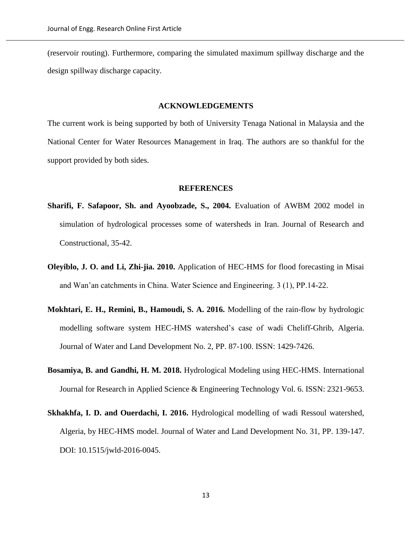(reservoir routing). Furthermore, comparing the simulated maximum spillway discharge and the design spillway discharge capacity.

#### **ACKNOWLEDGEMENTS**

The current work is being supported by both of University Tenaga National in Malaysia and the National Center for Water Resources Management in Iraq. The authors are so thankful for the support provided by both sides.

## **REFERENCES**

- **Sharifi, F. Safapoor, Sh. and Ayoobzade, S., 2004.** Evaluation of AWBM 2002 model in simulation of hydrological processes some of watersheds in Iran. Journal of Research and Constructional, 35-42.
- **Oleyiblo, J. O. and Li, Zhi-jia. 2010.** Application of HEC-HMS for flood forecasting in Misai and Wan'an catchments in China. Water Science and Engineering. 3 (1), PP.14-22.
- **Mokhtari, E. H., Remini, B., Hamoudi, S. A. 2016.** Modelling of the rain-flow by hydrologic modelling software system HEC-HMS watershed's case of wadi Cheliff-Ghrib, Algeria. Journal of Water and Land Development No. 2, PP. 87-100. ISSN: 1429-7426.
- **Bosamiya, B. and Gandhi, H. M. 2018.** Hydrological Modeling using HEC-HMS. International Journal for Research in Applied Science & Engineering Technology Vol. 6. ISSN: 2321-9653.
- **Skhakhfa, I. D. and Ouerdachi, I. 2016.** Hydrological modelling of wadi Ressoul watershed, Algeria, by HEC-HMS model. Journal of Water and Land Development No. 31, PP. 139-147. DOI: 10.1515/jwld-2016-0045.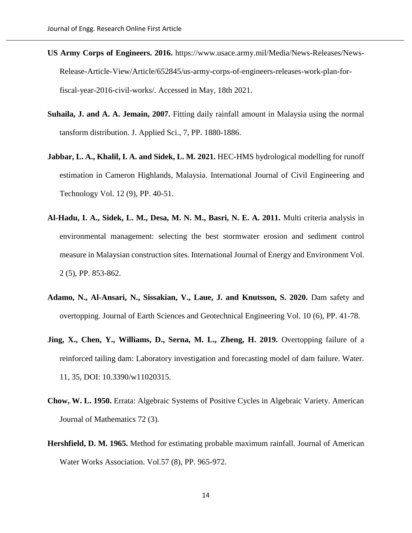- **US Army Corps of Engineers. 2016.** https://www.usace.army.mil/Media/News-Releases/News-Release-Article-View/Article/652845/us-army-corps-of-engineers-releases-work-plan-forfiscal-year-2016-civil-works/. Accessed in May, 18th 2021.
- **Suhaila, J. and A. A. Jemain, 2007.** Fitting daily rainfall amount in Malaysia using the normal tansform distribution. J. Applied Sci., 7, PP. 1880-1886.
- **Jabbar, L. A., Khalil, I. A. and Sidek, L. M. 2021.** HEC-HMS hydrological modelling for runoff estimation in Cameron Highlands, Malaysia. International Journal of Civil Engineering and Technology Vol. 12 (9), PP. 40-51.
- **Al-Hadu, I. A., Sidek, L. M., Desa, M. N. M., Basri, N. E. A. 2011.** Multi criteria analysis in environmental management: selecting the best stormwater erosion and sediment control measure in Malaysian construction sites. International Journal of Energy and Environment Vol. 2 (5), PP. 853-862.
- **Adamo, N., Al-Ansari, N., Sissakian, V., Laue, J. and Knutsson, S. 2020.** Dam safety and overtopping. Journal of Earth Sciences and Geotechnical Engineering Vol. 10 (6), PP. 41-78.
- **Jing, X., Chen, Y., Williams, D., Serna, M. L., Zheng, H. 2019.** Overtopping failure of a reinforced tailing dam: Laboratory investigation and forecasting model of dam failure. Water. 11, 35, DOI: 10.3390/w11020315.
- **Chow, W. L. 1950.** Errata: Algebraic Systems of Positive Cycles in Algebraic Variety. American Journal of Mathematics 72 (3).
- **Hershfield, D. M. 1965.** Method for estimating probable maximum rainfall. Journal of American Water Works Association. Vol.57 (8), PP. 965-972.